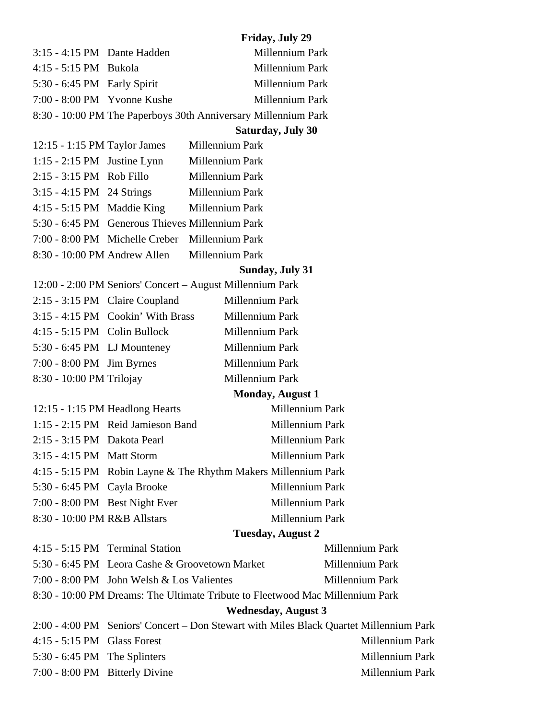|                                                                               |                                                                                        |                                            | <b>Friday, July 29</b>                                         |                 |  |  |
|-------------------------------------------------------------------------------|----------------------------------------------------------------------------------------|--------------------------------------------|----------------------------------------------------------------|-----------------|--|--|
| 3:15 - 4:15 PM Dante Hadden                                                   |                                                                                        |                                            | Millennium Park                                                |                 |  |  |
| 4:15 - 5:15 PM Bukola                                                         |                                                                                        |                                            | Millennium Park                                                |                 |  |  |
| 5:30 - 6:45 PM Early Spirit                                                   |                                                                                        |                                            | Millennium Park                                                |                 |  |  |
| 7:00 - 8:00 PM Yvonne Kushe                                                   |                                                                                        |                                            | Millennium Park                                                |                 |  |  |
|                                                                               |                                                                                        |                                            | 8:30 - 10:00 PM The Paperboys 30th Anniversary Millennium Park |                 |  |  |
|                                                                               |                                                                                        |                                            | <b>Saturday, July 30</b>                                       |                 |  |  |
| 12:15 - 1:15 PM Taylor James                                                  |                                                                                        |                                            | Millennium Park                                                |                 |  |  |
| $1:15 - 2:15$ PM Justine Lynn                                                 |                                                                                        | Millennium Park                            |                                                                |                 |  |  |
| 2:15 - 3:15 PM Rob Fillo                                                      |                                                                                        | Millennium Park                            |                                                                |                 |  |  |
|                                                                               | 3:15 - 4:15 PM 24 Strings Millennium Park                                              |                                            |                                                                |                 |  |  |
|                                                                               |                                                                                        | 4:15 - 5:15 PM Maddie King Millennium Park |                                                                |                 |  |  |
|                                                                               | 5:30 - 6:45 PM Generous Thieves Millennium Park                                        |                                            |                                                                |                 |  |  |
|                                                                               | 7:00 - 8:00 PM Michelle Creber Millennium Park                                         |                                            |                                                                |                 |  |  |
|                                                                               | 8:30 - 10:00 PM Andrew Allen Millennium Park                                           |                                            |                                                                |                 |  |  |
|                                                                               |                                                                                        |                                            | <b>Sunday, July 31</b>                                         |                 |  |  |
|                                                                               | 12:00 - 2:00 PM Seniors' Concert - August Millennium Park                              |                                            |                                                                |                 |  |  |
|                                                                               | 2:15 - 3:15 PM Claire Coupland                                                         |                                            | Millennium Park                                                |                 |  |  |
|                                                                               | $3:15 - 4:15$ PM Cookin' With Brass                                                    |                                            | Millennium Park                                                |                 |  |  |
| 4:15 - 5:15 PM Colin Bullock                                                  |                                                                                        |                                            | Millennium Park                                                |                 |  |  |
|                                                                               | 5:30 - 6:45 PM LJ Mounteney                                                            |                                            | Millennium Park                                                |                 |  |  |
| 7:00 - 8:00 PM Jim Byrnes                                                     |                                                                                        |                                            | Millennium Park                                                |                 |  |  |
| 8:30 - 10:00 PM Trilojay                                                      |                                                                                        |                                            | Millennium Park                                                |                 |  |  |
|                                                                               |                                                                                        |                                            | <b>Monday, August 1</b>                                        |                 |  |  |
|                                                                               | 12:15 - 1:15 PM Headlong Hearts                                                        |                                            | Millennium Park                                                |                 |  |  |
|                                                                               | 1:15 - 2:15 PM Reid Jamieson Band                                                      |                                            | Millennium Park                                                |                 |  |  |
| 2:15 - 3:15 PM Dakota Pearl                                                   |                                                                                        |                                            | Millennium Park                                                |                 |  |  |
| 3:15 - 4:15 PM Matt Storm                                                     |                                                                                        |                                            | Millennium Park                                                |                 |  |  |
|                                                                               |                                                                                        |                                            | 4:15 - 5:15 PM Robin Layne & The Rhythm Makers Millennium Park |                 |  |  |
| 5:30 - 6:45 PM Cayla Brooke                                                   |                                                                                        |                                            | Millennium Park                                                |                 |  |  |
|                                                                               | 7:00 - 8:00 PM Best Night Ever                                                         |                                            | Millennium Park                                                |                 |  |  |
| 8:30 - 10:00 PM R&B Allstars                                                  |                                                                                        |                                            | Millennium Park                                                |                 |  |  |
|                                                                               |                                                                                        |                                            | <b>Tuesday, August 2</b>                                       |                 |  |  |
|                                                                               | 4:15 - 5:15 PM Terminal Station                                                        |                                            |                                                                | Millennium Park |  |  |
|                                                                               | 5:30 - 6:45 PM Leora Cashe & Groovetown Market                                         |                                            |                                                                | Millennium Park |  |  |
|                                                                               | 7:00 - 8:00 PM John Welsh & Los Valientes<br>Millennium Park                           |                                            |                                                                |                 |  |  |
| 8:30 - 10:00 PM Dreams: The Ultimate Tribute to Fleetwood Mac Millennium Park |                                                                                        |                                            |                                                                |                 |  |  |
|                                                                               | <b>Wednesday, August 3</b>                                                             |                                            |                                                                |                 |  |  |
|                                                                               | 2:00 - 4:00 PM Seniors' Concert – Don Stewart with Miles Black Quartet Millennium Park |                                            |                                                                |                 |  |  |

4:15 - 5:15 PM Glass Forest Millennium Park 5:30 - 6:45 PM The Splinters Millennium Park

7:00 - 8:00 PM Bitterly Divine Millennium Park